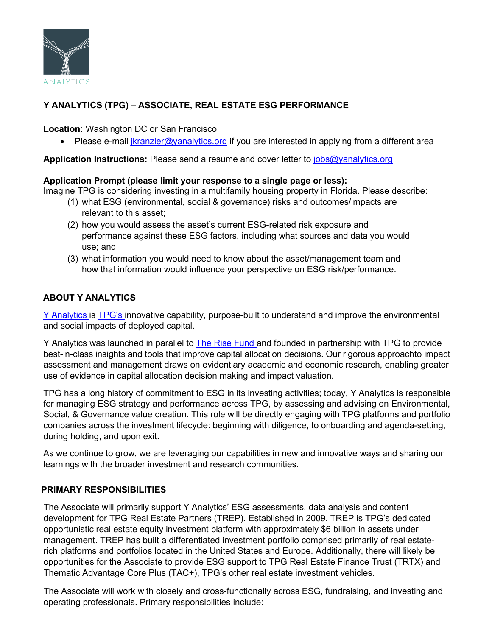

# **Y ANALYTICS (TPG) – ASSOCIATE, REAL ESTATE ESG PERFORMANCE**

**Location:** Washington DC or San Francisco

• Please e-mail [jkranzler@yanalytics.org](mailto:jkranzler@yanalytics.org) if you are interested in applying from a different area

**Application Instructions:** Please send a resume and cover letter to [jobs@yanalytics.org](mailto:jobs@yanalytics.org) 

#### **Application Prompt (please limit your response to a single page or less):**

Imagine TPG is considering investing in a multifamily housing property in Florida. Please describe:

- (1) what ESG (environmental, social & governance) risks and outcomes/impacts are relevant to this asset;
- (2) how you would assess the asset's current ESG-related risk exposure and performance against these ESG factors, including what sources and data you would use; and
- (3) what information you would need to know about the asset/management team and how that information would influence your perspective on ESG risk/performance.

# **ABOUT Y ANALYTICS**

Y [Analytics](https://yanalytics.org/) is [TPG's](https://www.tpg.com/) innovative capability, purpose-built to understand and improve the environmental and social impacts of deployed capital.

Y Analytics was launched in parallel to [The Rise Fund a](https://therisefund.com/)nd founded in partnership with TPG to provide best-in-class insights and tools that improve capital allocation decisions. Our rigorous approachto impact assessment and management draws on evidentiary academic and economic research, enabling greater use of evidence in capital allocation decision making and impact valuation.

TPG has a long history of commitment to ESG in its investing activities; today, Y Analytics is responsible for managing ESG strategy and performance across TPG, by assessing and advising on Environmental, Social, & Governance value creation. This role will be directly engaging with TPG platforms and portfolio companies across the investment lifecycle: beginning with diligence, to onboarding and agenda-setting, during holding, and upon exit.

As we continue to grow, we are leveraging our capabilities in new and innovative ways and sharing our learnings with the broader investment and research communities.

## **PRIMARY RESPONSIBILITIES**

The Associate will primarily support Y Analytics' ESG assessments, data analysis and content development for TPG Real Estate Partners (TREP). Established in 2009, TREP is TPG's dedicated opportunistic real estate equity investment platform with approximately \$6 billion in assets under management. TREP has built a differentiated investment portfolio comprised primarily of real estaterich platforms and portfolios located in the United States and Europe. Additionally, there will likely be opportunities for the Associate to provide ESG support to TPG Real Estate Finance Trust (TRTX) and Thematic Advantage Core Plus (TAC+), TPG's other real estate investment vehicles.

The Associate will work with closely and cross-functionally across ESG, fundraising, and investing and operating professionals. Primary responsibilities include: